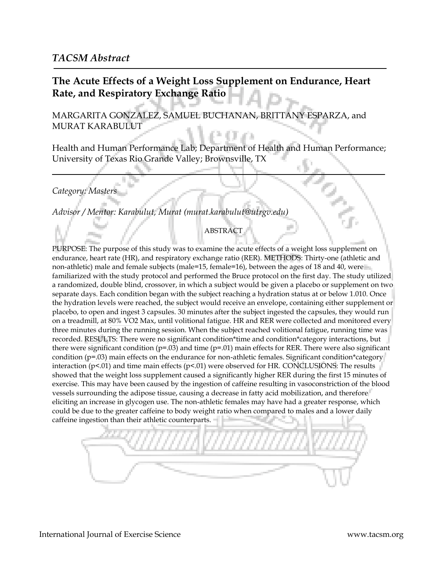## **The Acute Effects of a Weight Loss Supplement on Endurance, Heart Rate, and Respiratory Exchange Ratio**

MARGARITA GONZALEZ, SAMUEL BUCHANAN, BRITTANY ESPARZA, and MURAT KARABULUT

Health and Human Performance Lab; Department of Health and Human Performance; University of Texas Rio Grande Valley; Brownsville, TX

*Category: Masters*

*Advisor / Mentor: Karabulut, Murat (murat.karabulut@utrgv.edu)*

## ABSTRACT

PURPOSE: The purpose of this study was to examine the acute effects of a weight loss supplement on endurance, heart rate (HR), and respiratory exchange ratio (RER). METHODS: Thirty-one (athletic and non-athletic) male and female subjects (male=15, female=16), between the ages of 18 and 40, were familiarized with the study protocol and performed the Bruce protocol on the first day. The study utilized a randomized, double blind, crossover, in which a subject would be given a placebo or supplement on two separate days. Each condition began with the subject reaching a hydration status at or below 1.010. Once the hydration levels were reached, the subject would receive an envelope, containing either supplement or placebo, to open and ingest 3 capsules. 30 minutes after the subject ingested the capsules, they would run on a treadmill, at 80% VO2 Max, until volitional fatigue. HR and RER were collected and monitored every three minutes during the running session. When the subject reached volitional fatigue, running time was recorded. RESULTS: There were no significant condition\*time and condition\*category interactions, but there were significant condition ( $p=.03$ ) and time ( $p=.01$ ) main effects for RER. There were also significant condition (p=.03) main effects on the endurance for non-athletic females. Significant condition\*category interaction (p<.01) and time main effects (p<.01) were observed for HR. CONCLUSIONS: The results showed that the weight loss supplement caused a significantly higher RER during the first 15 minutes of exercise. This may have been caused by the ingestion of caffeine resulting in vasoconstriction of the blood vessels surrounding the adipose tissue, causing a decrease in fatty acid mobilization, and therefore eliciting an increase in glycogen use. The non-athletic females may have had a greater response, which could be due to the greater caffeine to body weight ratio when compared to males and a lower daily caffeine ingestion than their athletic counterparts.